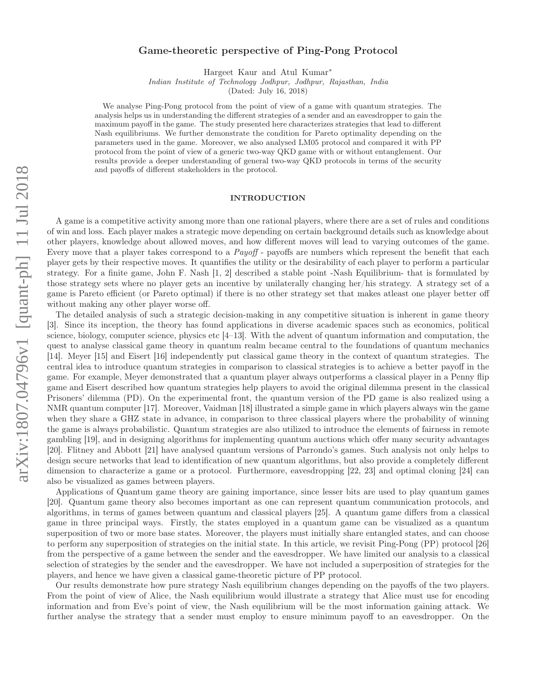# arXiv:1807.04796v1 [quant-ph] 11 Jul 2018 arXiv:1807.04796v1 [quant-ph] 11 Jul 2018

# Game-theoretic perspective of Ping-Pong Protocol

Hargeet Kaur and Atul Kumar<sup>∗</sup>

Indian Institute of Technology Jodhpur, Jodhpur, Rajasthan, India

(Dated: July 16, 2018)

We analyse Ping-Pong protocol from the point of view of a game with quantum strategies. The analysis helps us in understanding the different strategies of a sender and an eavesdropper to gain the maximum payoff in the game. The study presented here characterizes strategies that lead to different Nash equilibriums. We further demonstrate the condition for Pareto optimality depending on the parameters used in the game. Moreover, we also analysed LM05 protocol and compared it with PP protocol from the point of view of a generic two-way QKD game with or without entanglement. Our results provide a deeper understanding of general two-way QKD protocols in terms of the security and payoffs of different stakeholders in the protocol.

### INTRODUCTION

A game is a competitive activity among more than one rational players, where there are a set of rules and conditions of win and loss. Each player makes a strategic move depending on certain background details such as knowledge about other players, knowledge about allowed moves, and how different moves will lead to varying outcomes of the game. Every move that a player takes correspond to a  $Payoff$  - payoffs are numbers which represent the benefit that each player gets by their respective moves. It quantifies the utility or the desirability of each player to perform a particular strategy. For a finite game, John F. Nash [1, 2] described a stable point -Nash Equilibrium- that is formulated by those strategy sets where no player gets an incentive by unilaterally changing her/his strategy. A strategy set of a game is Pareto efficient (or Pareto optimal) if there is no other strategy set that makes atleast one player better off without making any other player worse off.

The detailed analysis of such a strategic decision-making in any competitive situation is inherent in game theory [3]. Since its inception, the theory has found applications in diverse academic spaces such as economics, political science, biology, computer science, physics etc  $[4-13]$ . With the advent of quantum information and computation, the quest to analyse classical game theory in quantum realm became central to the foundations of quantum mechanics [14]. Meyer [15] and Eisert [16] independently put classical game theory in the context of quantum strategies. The central idea to introduce quantum strategies in comparison to classical strategies is to achieve a better payoff in the game. For example, Meyer demonstrated that a quantum player always outperforms a classical player in a Penny flip game and Eisert described how quantum strategies help players to avoid the original dilemma present in the classical Prisoners' dilemma (PD). On the experimental front, the quantum version of the PD game is also realized using a NMR quantum computer [17]. Moreover, Vaidman [18] illustrated a simple game in which players always win the game when they share a GHZ state in advance, in comparison to three classical players where the probability of winning the game is always probabilistic. Quantum strategies are also utilized to introduce the elements of fairness in remote gambling [19], and in designing algorithms for implementing quantum auctions which offer many security advantages [20]. Flitney and Abbott [21] have analysed quantum versions of Parrondo's games. Such analysis not only helps to design secure networks that lead to identification of new quantum algorithms, but also provide a completely different dimension to characterize a game or a protocol. Furthermore, eavesdropping [22, 23] and optimal cloning [24] can also be visualized as games between players.

Applications of Quantum game theory are gaining importance, since lesser bits are used to play quantum games [20]. Quantum game theory also becomes important as one can represent quantum communication protocols, and algorithms, in terms of games between quantum and classical players [25]. A quantum game differs from a classical game in three principal ways. Firstly, the states employed in a quantum game can be visualized as a quantum superposition of two or more base states. Moreover, the players must initially share entangled states, and can choose to perform any superposition of strategies on the initial state. In this article, we revisit Ping-Pong (PP) protocol [26] from the perspective of a game between the sender and the eavesdropper. We have limited our analysis to a classical selection of strategies by the sender and the eavesdropper. We have not included a superposition of strategies for the players, and hence we have given a classical game-theoretic picture of PP protocol.

Our results demonstrate how pure strategy Nash equilibrium changes depending on the payoffs of the two players. From the point of view of Alice, the Nash equilibrium would illustrate a strategy that Alice must use for encoding information and from Eve's point of view, the Nash equilibrium will be the most information gaining attack. We further analyse the strategy that a sender must employ to ensure minimum payoff to an eavesdropper. On the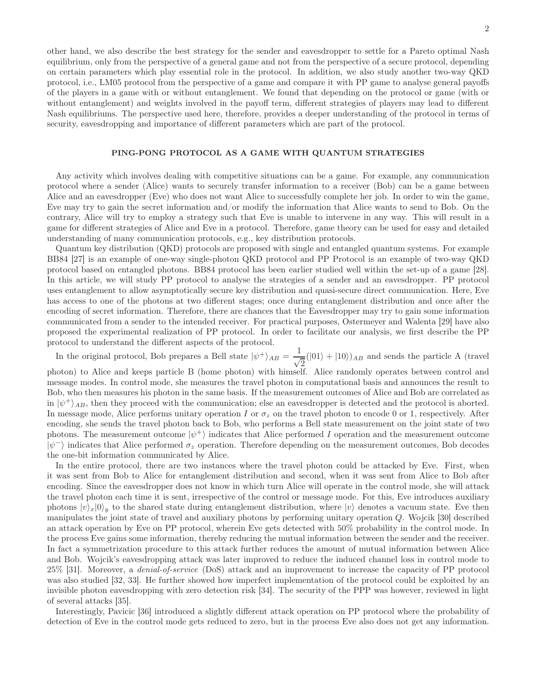other hand, we also describe the best strategy for the sender and eavesdropper to settle for a Pareto optimal Nash equilibrium, only from the perspective of a general game and not from the perspective of a secure protocol, depending on certain parameters which play essential role in the protocol. In addition, we also study another two-way QKD protocol, i.e., LM05 protocol from the perspective of a game and compare it with PP game to analyse general payoffs of the players in a game with or without entanglement. We found that depending on the protocol or game (with or without entanglement) and weights involved in the payoff term, different strategies of players may lead to different Nash equilibriums. The perspective used here, therefore, provides a deeper understanding of the protocol in terms of security, eavesdropping and importance of different parameters which are part of the protocol.

## PING-PONG PROTOCOL AS A GAME WITH QUANTUM STRATEGIES

Any activity which involves dealing with competitive situations can be a game. For example, any communication protocol where a sender (Alice) wants to securely transfer information to a receiver (Bob) can be a game between Alice and an eavesdropper (Eve) who does not want Alice to successfully complete her job. In order to win the game, Eve may try to gain the secret information and/or modify the information that Alice wants to send to Bob. On the contrary, Alice will try to employ a strategy such that Eve is unable to intervene in any way. This will result in a game for different strategies of Alice and Eve in a protocol. Therefore, game theory can be used for easy and detailed understanding of many communication protocols, e.g., key distribution protocols.

Quantum key distribution (QKD) protocols are proposed with single and entangled quantum systems. For example BB84 [27] is an example of one-way single-photon QKD protocol and PP Protocol is an example of two-way QKD protocol based on entangled photons. BB84 protocol has been earlier studied well within the set-up of a game [28]. In this article, we will study PP protocol to analyse the strategies of a sender and an eavesdropper. PP protocol uses entanglement to allow asymptotically secure key distribution and quasi-secure direct communication. Here, Eve has access to one of the photons at two different stages; once during entanglement distribution and once after the encoding of secret information. Therefore, there are chances that the Eavesdropper may try to gain some information communicated from a sender to the intended receiver. For practical purposes, Ostermeyer and Walenta [29] have also proposed the experimental realization of PP protocol. In order to facilitate our analysis, we first describe the PP protocol to understand the different aspects of the protocol.

In the original protocol, Bob prepares a Bell state  $|\psi^{+}\rangle_{AB} = \frac{1}{\sqrt{2\pi}}$  $\frac{1}{\sqrt{2}}(|01\rangle + |10\rangle)_{AB}$  and sends the particle A (travel photon) to Alice and keeps particle B (home photon) with himself. Alice randomly operates between control and message modes. In control mode, she measures the travel photon in computational basis and announces the result to Bob, who then measures his photon in the same basis. If the measurement outcomes of Alice and Bob are correlated as in  $|\psi^{+}\rangle_{AB}$ , then they proceed with the communication; else an eavesdropper is detected and the protocol is aborted. In message mode, Alice performs unitary operation I or  $\sigma_z$  on the travel photon to encode 0 or 1, respectively. After

encoding, she sends the travel photon back to Bob, who performs a Bell state measurement on the joint state of two photons. The measurement outcome  $|\psi^+\rangle$  indicates that Alice performed I operation and the measurement outcome  $|\psi^-\rangle$  indicates that Alice performed  $\sigma_z$  operation. Therefore depending on the measurement outcomes, Bob decodes the one-bit information communicated by Alice.

In the entire protocol, there are two instances where the travel photon could be attacked by Eve. First, when it was sent from Bob to Alice for entanglement distribution and second, when it was sent from Alice to Bob after encoding. Since the eavesdropper does not know in which turn Alice will operate in the control mode, she will attack the travel photon each time it is sent, irrespective of the control or message mode. For this, Eve introduces auxiliary photons  $|v\rangle_x|0\rangle_y$  to the shared state during entanglement distribution, where  $|v\rangle$  denotes a vacuum state. Eve then manipulates the joint state of travel and auxiliary photons by performing unitary operation Q. Wojcik [30] described an attack operation by Eve on PP protocol, wherein Eve gets detected with 50% probability in the control mode. In the process Eve gains some information, thereby reducing the mutual information between the sender and the receiver. In fact a symmetrization procedure to this attack further reduces the amount of mutual information between Alice and Bob. Wojcik's eavesdropping attack was later improved to reduce the induced channel loss in control mode to 25% [31]. Moreover, a denial-of-service (DoS) attack and an improvement to increase the capacity of PP protocol was also studied [32, 33]. He further showed how imperfect implementation of the protocol could be exploited by an invisible photon eavesdropping with zero detection risk [34]. The security of the PPP was however, reviewed in light of several attacks [35].

Interestingly, Pavicic [36] introduced a slightly different attack operation on PP protocol where the probability of detection of Eve in the control mode gets reduced to zero, but in the process Eve also does not get any information.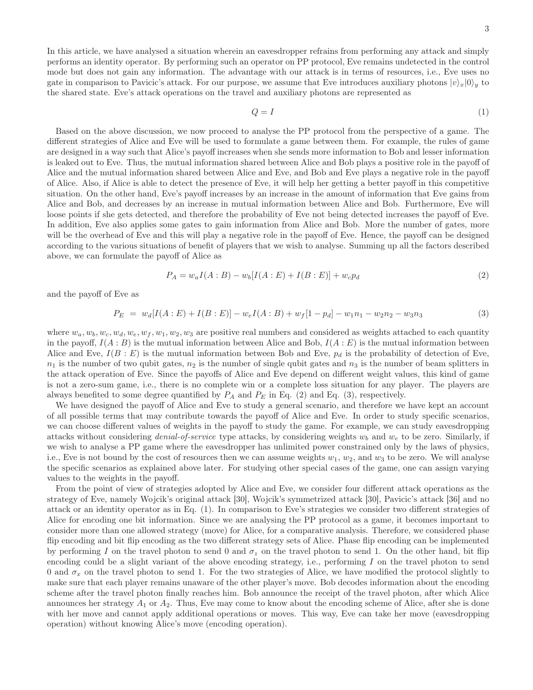In this article, we have analysed a situation wherein an eavesdropper refrains from performing any attack and simply performs an identity operator. By performing such an operator on PP protocol, Eve remains undetected in the control mode but does not gain any information. The advantage with our attack is in terms of resources, i.e., Eve uses no gate in comparison to Pavicic's attack. For our purpose, we assume that Eve introduces auxiliary photons  $|v\rangle_r|0\rangle_u$  to the shared state. Eve's attack operations on the travel and auxiliary photons are represented as

$$
Q = I \tag{1}
$$

Based on the above discussion, we now proceed to analyse the PP protocol from the perspective of a game. The different strategies of Alice and Eve will be used to formulate a game between them. For example, the rules of game are designed in a way such that Alice's payoff increases when she sends more information to Bob and lesser information is leaked out to Eve. Thus, the mutual information shared between Alice and Bob plays a positive role in the payoff of Alice and the mutual information shared between Alice and Eve, and Bob and Eve plays a negative role in the payoff of Alice. Also, if Alice is able to detect the presence of Eve, it will help her getting a better payoff in this competitive situation. On the other hand, Eve's payoff increases by an increase in the amount of information that Eve gains from Alice and Bob, and decreases by an increase in mutual information between Alice and Bob. Furthermore, Eve will loose points if she gets detected, and therefore the probability of Eve not being detected increases the payoff of Eve. In addition, Eve also applies some gates to gain information from Alice and Bob. More the number of gates, more will be the overhead of Eve and this will play a negative role in the payoff of Eve. Hence, the payoff can be designed according to the various situations of benefit of players that we wish to analyse. Summing up all the factors described above, we can formulate the payoff of Alice as

$$
P_A = w_a I(A:B) - w_b [I(A:E) + I(B:E)] + w_c p_d
$$
\n(2)

and the payoff of Eve as

$$
P_E = w_d[I(A:E) + I(B:E)] - w_eI(A:B) + w_f[1 - p_d] - w_1n_1 - w_2n_2 - w_3n_3
$$
\n(3)

where  $w_a, w_b, w_c, w_d, w_e, w_f, w_1, w_2, w_3$  are positive real numbers and considered as weights attached to each quantity in the payoff,  $I(A:B)$  is the mutual information between Alice and Bob,  $I(A:E)$  is the mutual information between Alice and Eve,  $I(B : E)$  is the mutual information between Bob and Eve,  $p_d$  is the probability of detection of Eve,  $n_1$  is the number of two qubit gates,  $n_2$  is the number of single qubit gates and  $n_3$  is the number of beam splitters in the attack operation of Eve. Since the payoffs of Alice and Eve depend on different weight values, this kind of game is not a zero-sum game, i.e., there is no complete win or a complete loss situation for any player. The players are always benefited to some degree quantified by  $P_A$  and  $P_E$  in Eq. (2) and Eq. (3), respectively.

We have designed the payoff of Alice and Eve to study a general scenario, and therefore we have kept an account of all possible terms that may contribute towards the payoff of Alice and Eve. In order to study specific scenarios, we can choose different values of weights in the payoff to study the game. For example, we can study eavesdropping attacks without considering *denial-of-service* type attacks, by considering weights  $w_b$  and  $w_e$  to be zero. Similarly, if we wish to analyse a PP game where the eavesdropper has unlimited power constrained only by the laws of physics, i.e., Eve is not bound by the cost of resources then we can assume weights  $w_1, w_2$ , and  $w_3$  to be zero. We will analyse the specific scenarios as explained above later. For studying other special cases of the game, one can assign varying values to the weights in the payoff.

From the point of view of strategies adopted by Alice and Eve, we consider four different attack operations as the strategy of Eve, namely Wojcik's original attack [30], Wojcik's symmetrized attack [30], Pavicic's attack [36] and no attack or an identity operator as in Eq. (1). In comparison to Eve's strategies we consider two different strategies of Alice for encoding one bit information. Since we are analysing the PP protocol as a game, it becomes important to consider more than one allowed strategy (move) for Alice, for a comparative analysis. Therefore, we considered phase flip encoding and bit flip encoding as the two different strategy sets of Alice. Phase flip encoding can be implemented by performing I on the travel photon to send 0 and  $\sigma_z$  on the travel photon to send 1. On the other hand, bit flip encoding could be a slight variant of the above encoding strategy, i.e., performing I on the travel photon to send 0 and  $\sigma_x$  on the travel photon to send 1. For the two strategies of Alice, we have modified the protocol slightly to make sure that each player remains unaware of the other player's move. Bob decodes information about the encoding scheme after the travel photon finally reaches him. Bob announce the receipt of the travel photon, after which Alice announces her strategy  $A_1$  or  $A_2$ . Thus, Eve may come to know about the encoding scheme of Alice, after she is done with her move and cannot apply additional operations or moves. This way, Eve can take her move (eavesdropping operation) without knowing Alice's move (encoding operation).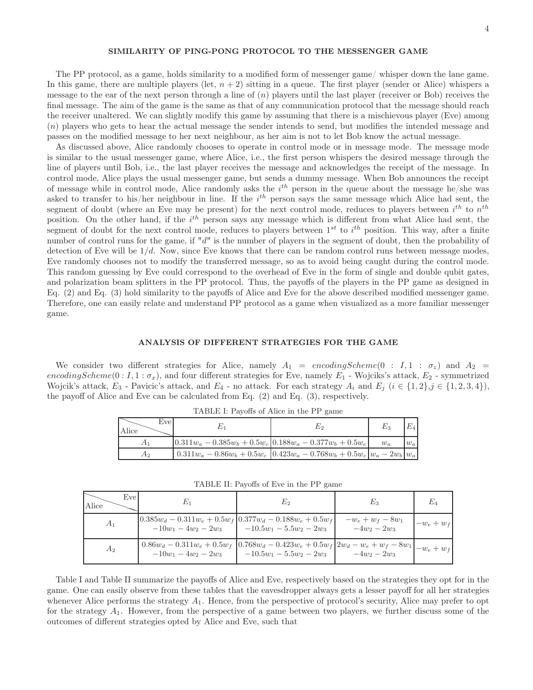### SIMILARITY OF PING-PONG PROTOCOL TO THE MESSENGER GAME

The PP protocol, as a game, holds similarity to a modified form of messenger game/ whisper down the lane game. In this game, there are multiple players (let,  $n + 2$ ) sitting in a queue. The first player (sender or Alice) whispers a message to the ear of the next person through a line of  $(n)$  players until the last player (receiver or Bob) receives the final message. The aim of the game is the same as that of any communication protocol that the message should reach the receiver unaltered. We can slightly modify this game by assuming that there is a mischievous player (Eve) among (n) players who gets to hear the actual message the sender intends to send, but modifies the intended message and passes on the modified message to her next neighbour, as her aim is not to let Bob know the actual message.

As discussed above, Alice randomly chooses to operate in control mode or in message mode. The message mode is similar to the usual messenger game, where Alice, i.e., the first person whispers the desired message through the line of players until Bob, i.e., the last player receives the message and acknowledges the receipt of the message. In control mode, Alice plays the usual messenger game, but sends a dummy message. When Bob announces the receipt of message while in control mode, Alice randomly asks the  $i^{th}$  person in the queue about the message he/she was asked to transfer to his/her neighbour in line. If the  $i^{th}$  person says the same message which Alice had sent, the segment of doubt (where an Eve may be present) for the next control mode, reduces to players between  $i^{th}$  to  $n^{th}$ position. On the other hand, if the  $i<sup>th</sup>$  person says any message which is different from what Alice had sent, the segment of doubt for the next control mode, reduces to players between  $1^{st}$  to  $i^{th}$  position. This way, after a finite number of control runs for the game, if " $d$ " is the number of players in the segment of doubt, then the probability of detection of Eve will be  $1/d$ . Now, since Eve knows that there can be random control runs between message modes, Eve randomly chooses not to modify the transferred message, so as to avoid being caught during the control mode. This random guessing by Eve could correspond to the overhead of Eve in the form of single and double qubit gates, and polarization beam splitters in the PP protocol. Thus, the payoffs of the players in the PP game as designed in Eq. (2) and Eq. (3) hold similarity to the payoffs of Alice and Eve for the above described modified messenger game. Therefore, one can easily relate and understand PP protocol as a game when visualized as a more familiar messenger game.

### ANALYSIS OF DIFFERENT STRATEGIES FOR THE GAME

We consider two different strategies for Alice, namely  $A_1 = encodingScheme(0 : I, 1 : \sigma_z)$  and  $A_2 =$ encodingScheme(0 :  $I, 1 : \sigma_x$ ), and four different strategies for Eve, namely  $E_1$  - Wojciks's attack,  $E_2$  - symmetrized Wojcik's attack,  $E_3$  - Pavicic's attack, and  $E_4$  - no attack. For each strategy  $A_i$  and  $E_j$   $(i \in \{1,2\}, j \in \{1,2,3,4\})$ , the payoff of Alice and Eve can be calculated from Eq. (2) and Eq. (3), respectively.

| $\ldots$ |      |                                                               |                                                                                       |         |       |
|----------|------|---------------------------------------------------------------|---------------------------------------------------------------------------------------|---------|-------|
| Alice    | Evel |                                                               | E2                                                                                    | $E_{3}$ | Eл    |
|          |      | $0.311w_a - 0.385w_b + 0.5w_c$ $0.188w_a - 0.377w_b + 0.5w_c$ |                                                                                       | $w_a$   | $w_a$ |
|          | Аэ   |                                                               | $0.311 w_a - 0.86 w_b + 0.5 w_c$ $0.423 w_a - 0.768 w_b + 0.5 w_c$ $ w_a - 2w_b  w_a$ |         |       |

TABLE I: Payoffs of Alice in the PP game

TABLE II: Payoffs of Eve in the PP game

| Eve<br>Alice   | E1                     | E <sub>2</sub>                                                                                                                                                              | $E_{3}$                             | E4           |
|----------------|------------------------|-----------------------------------------------------------------------------------------------------------------------------------------------------------------------------|-------------------------------------|--------------|
| A <sub>1</sub> |                        | $[0.385 w_d - 0.311 w_e + 0.5 w_f   0.377 w_d - 0.188 w_e + 0.5 w_f]$<br>$-10w_1 - 4w_2 - 2w_3$ $-10.5w_1 - 5.5w_2 - 2w_3$                                                  | $-w_e + w_f - 8w_1$<br>$-4w_2-2w_3$ | $-w_e + w_f$ |
| $A_2$          | $-10w_1 - 4w_2 - 2w_3$ | $\boxed{0.86 w_d - 0.311 w_e + 0.5 w_f \left[ 0.768 w_d - 0.423 w_e + 0.5 w_f \left[ 2 w_d - w_e + w_f - 8 w_1 \right]_{-w_e + w_f} \right]}$<br>$-10.5w_1 - 5.5w_2 - 2w_3$ | $-4w_2-2w_3$                        |              |

Table I and Table II summarize the payoffs of Alice and Eve, respectively based on the strategies they opt for in the game. One can easily observe from these tables that the eavesdropper always gets a lesser payoff for all her strategies whenever Alice performs the strategy  $A_1$ . Hence, from the perspective of protocol's security, Alice may prefer to opt for the strategy  $A_1$ . However, from the perspective of a game between two players, we further discuss some of the outcomes of different strategies opted by Alice and Eve, such that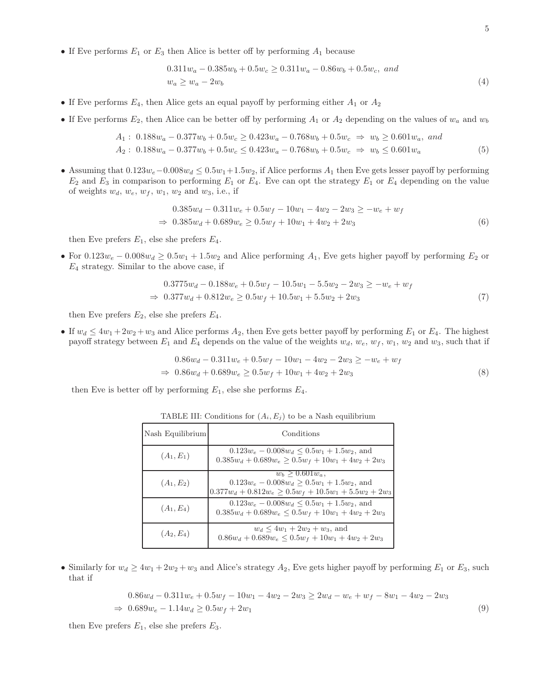• If Eve performs  $E_1$  or  $E_3$  then Alice is better off by performing  $A_1$  because

$$
0.311w_a - 0.385w_b + 0.5w_c \ge 0.311w_a - 0.86w_b + 0.5w_c, \text{ and}
$$
  

$$
w_a \ge w_a - 2w_b
$$
 (4)

- If Eve performs  $E_4$ , then Alice gets an equal payoff by performing either  $A_1$  or  $A_2$
- If Eve performs  $E_2$ , then Alice can be better off by performing  $A_1$  or  $A_2$  depending on the values of  $w_a$  and  $w_b$

$$
A_1: 0.188w_a - 0.377w_b + 0.5w_c \ge 0.423w_a - 0.768w_b + 0.5w_c \Rightarrow w_b \ge 0.601w_a, \text{ and}
$$
  

$$
A_2: 0.188w_a - 0.377w_b + 0.5w_c \le 0.423w_a - 0.768w_b + 0.5w_c \Rightarrow w_b \le 0.601w_a
$$
 (5)

• Assuming that  $0.123w_e-0.008w_d \le 0.5w_1+1.5w_2$ , if Alice performs  $A_1$  then Eve gets lesser payoff by performing  $E_2$  and  $E_3$  in comparison to performing  $E_1$  or  $E_4$ . Eve can opt the strategy  $E_1$  or  $E_4$  depending on the value of weights  $w_d$ ,  $w_e$ ,  $w_f$ ,  $w_1$ ,  $w_2$  and  $w_3$ , i.e., if

$$
0.385w_d - 0.311w_e + 0.5w_f - 10w_1 - 4w_2 - 2w_3 \ge -w_e + w_f
$$
  
\n
$$
\Rightarrow 0.385w_d + 0.689w_e \ge 0.5w_f + 10w_1 + 4w_2 + 2w_3
$$
\n(6)

then Eve prefers  $E_1$ , else she prefers  $E_4$ .

• For  $0.123w_e - 0.008w_d \ge 0.5w_1 + 1.5w_2$  and Alice performing  $A_1$ , Eve gets higher payoff by performing  $E_2$  or  $E_4$  strategy. Similar to the above case, if

$$
0.3775w_d - 0.188w_e + 0.5w_f - 10.5w_1 - 5.5w_2 - 2w_3 \ge -w_e + w_f
$$
  
\n
$$
\Rightarrow 0.377w_d + 0.812w_e \ge 0.5w_f + 10.5w_1 + 5.5w_2 + 2w_3
$$
\n(7)

then Eve prefers  $E_2$ , else she prefers  $E_4$ .

• If  $w_d \leq 4w_1 + 2w_2 + w_3$  and Alice performs  $A_2$ , then Eve gets better payoff by performing  $E_1$  or  $E_4$ . The highest payoff strategy between  $E_1$  and  $E_4$  depends on the value of the weights  $w_d$ ,  $w_e$ ,  $w_f$ ,  $w_1$ ,  $w_2$  and  $w_3$ , such that if

$$
0.86w_d - 0.311w_e + 0.5w_f - 10w_1 - 4w_2 - 2w_3 \ge -w_e + w_f
$$
  
\n
$$
\Rightarrow 0.86w_d + 0.689w_e \ge 0.5w_f + 10w_1 + 4w_2 + 2w_3
$$
\n(8)

then Eve is better off by performing  $E_1$ , else she performs  $E_4$ .

| Nash Equilibrium | Conditions                                                                                                                         |  |
|------------------|------------------------------------------------------------------------------------------------------------------------------------|--|
| $(A_1, E_1)$     | $0.123w_e - 0.008w_d \le 0.5w_1 + 1.5w_2$ , and<br>$0.385w_d + 0.689w_e \ge 0.5w_f + 10w_1 + 4w_2 + 2w_3$                          |  |
| $(A_1, E_2)$     | $w_b > 0.601 w_a$<br>$0.123w_e - 0.008w_d \ge 0.5w_1 + 1.5w_2$ , and<br>$0.377w_d + 0.812w_e \ge 0.5w_f + 10.5w_1 + 5.5w_2 + 2w_3$ |  |
| $(A_1, E_4)$     | $0.123w_e - 0.008w_d \le 0.5w_1 + 1.5w_2$ , and<br>$0.385w_d + 0.689w_e \le 0.5w_f + 10w_1 + 4w_2 + 2w_3$                          |  |
| $(A_2, E_4)$     | $w_d \leq 4w_1 + 2w_2 + w_3$ , and<br>$0.86w_d + 0.689w_e \leq 0.5w_f + 10w_1 + 4w_2 + 2w_3$                                       |  |

TABLE III: Conditions for  $(A_i, E_j)$  to be a Nash equilibrium

• Similarly for  $w_d \ge 4w_1 + 2w_2 + w_3$  and Alice's strategy  $A_2$ , Eve gets higher payoff by performing  $E_1$  or  $E_3$ , such that if

$$
0.86w_d - 0.311w_e + 0.5w_f - 10w_1 - 4w_2 - 2w_3 \ge 2w_d - w_e + w_f - 8w_1 - 4w_2 - 2w_3
$$
  
\n
$$
\Rightarrow 0.689w_e - 1.14w_d \ge 0.5w_f + 2w_1
$$
\n(9)

then Eve prefers  $E_1$ , else she prefers  $E_3$ .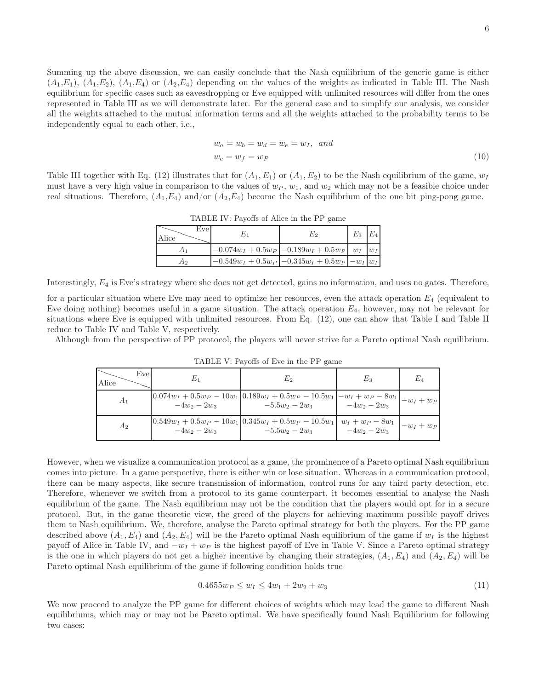Summing up the above discussion, we can easily conclude that the Nash equilibrium of the generic game is either  $(A_1,E_1), (A_1,E_2), (A_1,E_4)$  or  $(A_2,E_4)$  depending on the values of the weights as indicated in Table III. The Nash equilibrium for specific cases such as eavesdropping or Eve equipped with unlimited resources will differ from the ones represented in Table III as we will demonstrate later. For the general case and to simplify our analysis, we consider all the weights attached to the mutual information terms and all the weights attached to the probability terms to be independently equal to each other, i.e.,

$$
w_a = w_b = w_d = w_e = w_I, \quad and
$$
  
\n
$$
w_c = w_f = w_P
$$
\n(10)

Table III together with Eq. (12) illustrates that for  $(A_1, E_1)$  or  $(A_1, E_2)$  to be the Nash equilibrium of the game,  $w_I$ must have a very high value in comparison to the values of  $w_P$ ,  $w_1$ , and  $w_2$  which may not be a feasible choice under real situations. Therefore,  $(A_1, E_4)$  and/or  $(A_2, E_4)$  become the Nash equilibrium of the one bit ping-pong game.

| Evel<br>Alice | E1 | E2                                                                        | $E_3$ | $E_4$ |
|---------------|----|---------------------------------------------------------------------------|-------|-------|
|               |    | $-0.074w_I + 0.5w_P$ $\vert -0.189w_I + 0.5w_P \vert w_I \vert w_I \vert$ |       |       |
| A2.           |    | $-0.549w_I + 0.5w_P$ $-0.345w_I + 0.5w_P$ $-w_I$ $w_I$                    |       |       |

TABLE IV: Payoffs of Alice in the PP game

Interestingly, E<sup>4</sup> is Eve's strategy where she does not get detected, gains no information, and uses no gates. Therefore,

for a particular situation where Eve may need to optimize her resources, even the attack operation  $E_4$  (equivalent to Eve doing nothing) becomes useful in a game situation. The attack operation  $E_4$ , however, may not be relevant for situations where Eve is equipped with unlimited resources. From Eq. (12), one can show that Table I and Table II reduce to Table IV and Table V, respectively.

Although from the perspective of PP protocol, the players will never strive for a Pareto optimal Nash equilibrium.

| Evel<br>Alice | $\scriptstyle E_1$ | E2                                                                                                                | $E_{3}$      | $E_4$        |
|---------------|--------------------|-------------------------------------------------------------------------------------------------------------------|--------------|--------------|
| $A_1$         | $-4w_2-2w_3$       | $\boxed{0.074w_I+0.5w_P-10w_1}\Big 0.189w_I+0.5w_P-10.5w_1\Big -w_I+w_P-8w_1\Big _{-w_I+w_P}$<br>$-5.5w_2 - 2w_3$ | $-4w_2-2w_3$ |              |
| $A_2$         | $-4w_2 - 2w_3$     | $\left[0.549w_I + 0.5w_P - 10w_1\right]0.345w_I + 0.5w_P - 10.5w_1\right]$ $w_I + w_P - 8w_1$<br>$-5.5w_2 - 2w_3$ | $-4w_2-2w_3$ | $-w_I + w_P$ |

TABLE V: Payoffs of Eve in the PP game

However, when we visualize a communication protocol as a game, the prominence of a Pareto optimal Nash equilibrium comes into picture. In a game perspective, there is either win or lose situation. Whereas in a communication protocol, there can be many aspects, like secure transmission of information, control runs for any third party detection, etc. Therefore, whenever we switch from a protocol to its game counterpart, it becomes essential to analyse the Nash equilibrium of the game. The Nash equilibrium may not be the condition that the players would opt for in a secure protocol. But, in the game theoretic view, the greed of the players for achieving maximum possible payoff drives them to Nash equilibrium. We, therefore, analyse the Pareto optimal strategy for both the players. For the PP game described above  $(A_1, E_4)$  and  $(A_2, E_4)$  will be the Pareto optimal Nash equilibrium of the game if  $w_I$  is the highest payoff of Alice in Table IV, and  $-w_I + w_P$  is the highest payoff of Eve in Table V. Since a Pareto optimal strategy is the one in which players do not get a higher incentive by changing their strategies,  $(A_1, E_4)$  and  $(A_2, E_4)$  will be Pareto optimal Nash equilibrium of the game if following condition holds true

$$
0.4655w_P \le w_I \le 4w_1 + 2w_2 + w_3 \tag{11}
$$

We now proceed to analyze the PP game for different choices of weights which may lead the game to different Nash equilibriums, which may or may not be Pareto optimal. We have specifically found Nash Equilibrium for following two cases: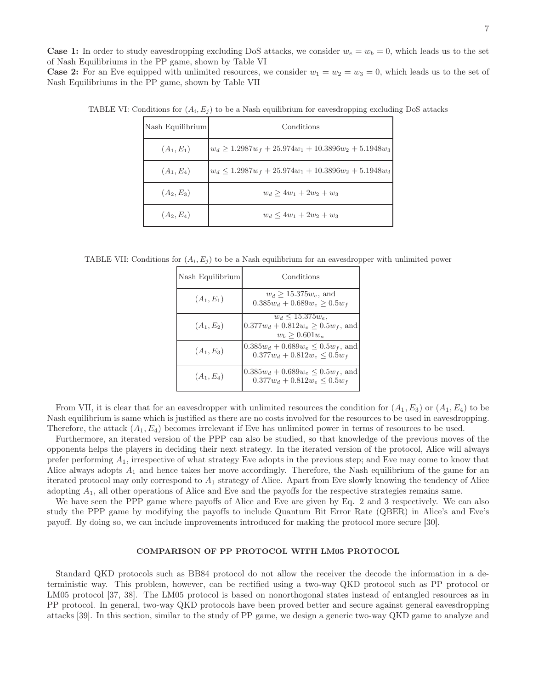**Case 1:** In order to study eavesdropping excluding DoS attacks, we consider  $w_e = w_b = 0$ , which leads us to the set of Nash Equilibriums in the PP game, shown by Table VI

**Case 2:** For an Eve equipped with unlimited resources, we consider  $w_1 = w_2 = w_3 = 0$ , which leads us to the set of Nash Equilibriums in the PP game, shown by Table VII

| Nash Equilibrium | Conditions                                                 |
|------------------|------------------------------------------------------------|
| $(A_1, E_1)$     | $ w_d \geq 1.2987w_f + 25.974w_1 + 10.3896w_2 + 5.1948w_3$ |
| $(A_1, E_4)$     | $w_d \leq 1.2987w_f + 25.974w_1 + 10.3896w_2 + 5.1948w_3$  |
| $(A_2, E_3)$     | $w_d > 4w_1 + 2w_2 + w_3$                                  |
| $(A_2, E_4)$     | $w_d \leq 4w_1 + 2w_2 + w_3$                               |

TABLE VI: Conditions for  $(A_i, E_j)$  to be a Nash equilibrium for eavesdropping excluding DoS attacks

TABLE VII: Conditions for  $(A_i, E_j)$  to be a Nash equilibrium for an eavesdropper with unlimited power

| Nash Equilibrium | Conditions                                                                          |  |
|------------------|-------------------------------------------------------------------------------------|--|
| $(A_1, E_1)$     | $w_d > 15.375 w_e$ , and<br>$0.385w_d + 0.689w_e \ge 0.5w_f$                        |  |
| $(A_1, E_2)$     | $w_d \le 15.375 w_e$<br>$0.377w_d + 0.812w_e \ge 0.5w_f$ , and<br>$w_b > 0.601 w_a$ |  |
| $(A_1, E_3)$     | $0.385w_d + 0.689w_e \leq 0.5w_f$ , and<br>$0.377w_d + 0.812w_e \leq 0.5w_f$        |  |
| $(A_1, E_4)$     | $0.385w_d + 0.689w_e \leq 0.5w_f$ , and<br>$0.377w_d + 0.812w_e \leq 0.5w_f$        |  |

From VII, it is clear that for an eavesdropper with unlimited resources the condition for  $(A_1, E_3)$  or  $(A_1, E_4)$  to be Nash equilibrium is same which is justified as there are no costs involved for the resources to be used in eavesdropping. Therefore, the attack  $(A_1, E_4)$  becomes irrelevant if Eve has unlimited power in terms of resources to be used.

Furthermore, an iterated version of the PPP can also be studied, so that knowledge of the previous moves of the opponents helps the players in deciding their next strategy. In the iterated version of the protocol, Alice will always prefer performing  $A_1$ , irrespective of what strategy Eve adopts in the previous step; and Eve may come to know that Alice always adopts  $A_1$  and hence takes her move accordingly. Therefore, the Nash equilibrium of the game for an iterated protocol may only correspond to  $A_1$  strategy of Alice. Apart from Eve slowly knowing the tendency of Alice adopting A1, all other operations of Alice and Eve and the payoffs for the respective strategies remains same.

We have seen the PPP game where payoffs of Alice and Eve are given by Eq. 2 and 3 respectively. We can also study the PPP game by modifying the payoffs to include Quantum Bit Error Rate (QBER) in Alice's and Eve's payoff. By doing so, we can include improvements introduced for making the protocol more secure [30].

### COMPARISON OF PP PROTOCOL WITH LM05 PROTOCOL

Standard QKD protocols such as BB84 protocol do not allow the receiver the decode the information in a deterministic way. This problem, however, can be rectified using a two-way QKD protocol such as PP protocol or LM05 protocol [37, 38]. The LM05 protocol is based on nonorthogonal states instead of entangled resources as in PP protocol. In general, two-way QKD protocols have been proved better and secure against general eavesdropping attacks [39]. In this section, similar to the study of PP game, we design a generic two-way QKD game to analyze and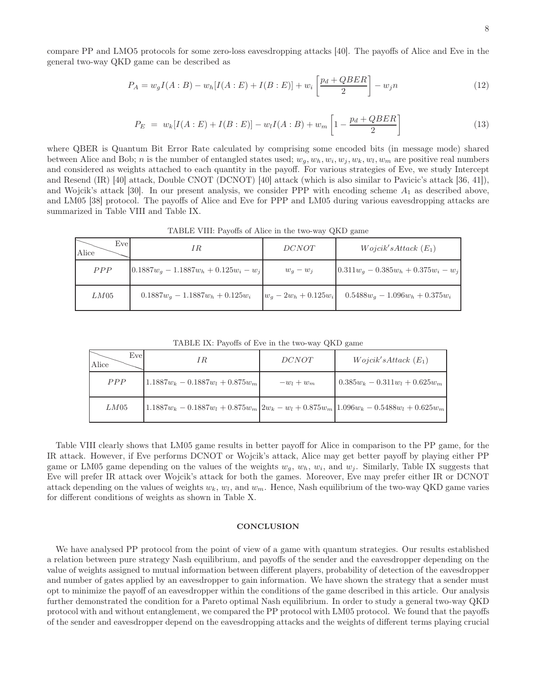compare PP and LMO5 protocols for some zero-loss eavesdropping attacks [40]. The payoffs of Alice and Eve in the general two-way QKD game can be described as

$$
P_A = w_g I(A:B) - w_h [I(A:E) + I(B:E)] + w_i \left[ \frac{p_d + QBER}{2} \right] - w_j n \tag{12}
$$

$$
P_E = w_k[I(A:E) + I(B:E)] - w_lI(A:B) + w_m\left[1 - \frac{p_d + QBER}{2}\right]
$$
\n(13)

where QBER is Quantum Bit Error Rate calculated by comprising some encoded bits (in message mode) shared between Alice and Bob; *n* is the number of entangled states used;  $w_g, w_h, w_i, w_j, w_k, w_l, w_m$  are positive real numbers and considered as weights attached to each quantity in the payoff. For various strategies of Eve, we study Intercept and Resend (IR) [40] attack, Double CNOT (DCNOT) [40] attack (which is also similar to Pavicic's attack [36, 41]), and Wojcik's attack [30]. In our present analysis, we consider PPP with encoding scheme  $A_1$  as described above, and LM05 [38] protocol. The payoffs of Alice and Eve for PPP and LM05 during various eavesdropping attacks are summarized in Table VIII and Table IX.

 $\overline{\phantom{0}}$ Alice Eve Eve IR DCNOT Wojcik'  $Wojcik's Attack (E<sub>1</sub>)$  $PPP \qquad \begin{array}{l} 0.1887w_g - 1.1887w_h + 0.125w_i - w_j \end{array}$   $\qquad w_g - w_j \qquad \begin{array}{l} \end{array}$   $[0.311w_g - 0.385w_h + 0.375w_i - w_j]$ LM05 0.1887w<sub>g</sub> − 1.1887w<sub>h</sub> + 0.125w<sub>i</sub>  $w_g - 2w_h + 0.125w_i$  0.5488w<sub>g</sub> − 1.096w<sub>h</sub> + 0.375w<sub>i</sub>

TABLE VIII: Payoffs of Alice in the two-way QKD game

TABLE IX: Payoffs of Eve in the two-way QKD game

| Evel<br>Alice | ΙR                                                                                       | DCNOT      | Wojcik's Attack (E <sub>1</sub> ) |
|---------------|------------------------------------------------------------------------------------------|------------|-----------------------------------|
| PPP           | $1.1887w_k - 0.1887w_l + 0.875w_m$                                                       | $-w_l+w_m$ | $0.385w_k - 0.311w_l + 0.625w_m$  |
| LM05          | $1.1887w_k - 0.1887w_l + 0.875w_m 2w_k - w_l + 0.875w_m 1.096w_k - 0.5488w_l + 0.625w_m$ |            |                                   |

Table VIII clearly shows that LM05 game results in better payoff for Alice in comparison to the PP game, for the IR attack. However, if Eve performs DCNOT or Wojcik's attack, Alice may get better payoff by playing either PP game or LM05 game depending on the values of the weights  $w_g$ ,  $w_h$ ,  $w_i$ , and  $w_j$ . Similarly, Table IX suggests that Eve will prefer IR attack over Wojcik's attack for both the games. Moreover, Eve may prefer either IR or DCNOT attack depending on the values of weights  $w_k$ ,  $w_l$ , and  $w_m$ . Hence, Nash equilibrium of the two-way QKD game varies for different conditions of weights as shown in Table X.

### **CONCLUSION**

We have analysed PP protocol from the point of view of a game with quantum strategies. Our results established a relation between pure strategy Nash equilibrium, and payoffs of the sender and the eavesdropper depending on the value of weights assigned to mutual information between different players, probability of detection of the eavesdropper and number of gates applied by an eavesdropper to gain information. We have shown the strategy that a sender must opt to minimize the payoff of an eavesdropper within the conditions of the game described in this article. Our analysis further demonstrated the condition for a Pareto optimal Nash equilibrium. In order to study a general two-way QKD protocol with and without entanglement, we compared the PP protocol with LM05 protocol. We found that the payoffs of the sender and eavesdropper depend on the eavesdropping attacks and the weights of different terms playing crucial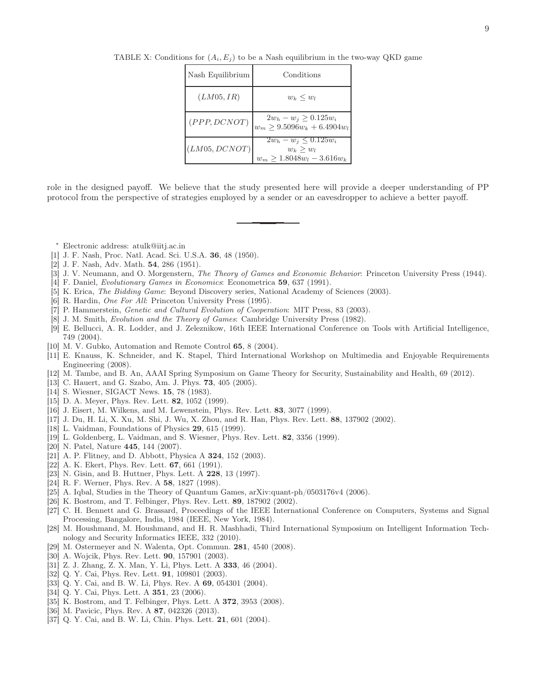| Nash Equilibrium | Conditions                                                                       |
|------------------|----------------------------------------------------------------------------------|
| (LM05, IR)       | $w_k \leq w_l$                                                                   |
| (PPP, DCNOT)     | $2w_h - w_j \ge 0.125w_i$<br>$w_m \ge 9.5096w_k + 6.4904w_l$                     |
| (LM05, DCNOT)    | $2w_h - w_i \leq 0.125 w_i$<br>$w_k \geq w_l$<br>$w_m \geq 1.8048w_l - 3.616w_k$ |

TABLE X: Conditions for  $(A_i, E_j)$  to be a Nash equilibrium in the two-way QKD game

role in the designed payoff. We believe that the study presented here will provide a deeper understanding of PP protocol from the perspective of strategies employed by a sender or an eavesdropper to achieve a better payoff.

- <sup>∗</sup> Electronic address: atulk@iitj.ac.in
- [1] J. F. Nash, Proc. Natl. Acad. Sci. U.S.A. 36, 48 (1950).
- [2] J. F. Nash, Adv. Math. 54, 286 (1951).
- [3] J. V. Neumann, and O. Morgenstern, The Theory of Games and Economic Behavior: Princeton University Press (1944).
- [4] F. Daniel, Evolutionary Games in Economics: Econometrica 59, 637 (1991).
- [5] K. Erica, The Bidding Game: Beyond Discovery series, National Academy of Sciences (2003).
- [6] R. Hardin, One For All: Princeton University Press (1995).
- [7] P. Hammerstein, Genetic and Cultural Evolution of Cooperation: MIT Press, 83 (2003).
- [8] J. M. Smith, Evolution and the Theory of Games: Cambridge University Press (1982).
- [9] E. Bellucci, A. R. Lodder, and J. Zeleznikow, 16th IEEE International Conference on Tools with Artificial Intelligence, 749 (2004).
- [10] M. V. Gubko, Automation and Remote Control 65, 8 (2004).
- [11] E. Knauss, K. Schneider, and K. Stapel, Third International Workshop on Multimedia and Enjoyable Requirements Engineering (2008).
- [12] M. Tambe, and B. An, AAAI Spring Symposium on Game Theory for Security, Sustainability and Health, 69 (2012).
- [13] C. Hauert, and G. Szabo, Am. J. Phys. **73**, 405 (2005).
- [14] S. Wiesner, SIGACT News. **15**, 78 (1983).
- [15] D. A. Meyer, Phys. Rev. Lett. **82**, 1052 (1999).
- [16] J. Eisert, M. Wilkens, and M. Lewenstein, Phys. Rev. Lett. 83, 3077 (1999).
- [17] J. Du, H. Li, X. Xu, M. Shi, J. Wu, X. Zhou, and R. Han, Phys. Rev. Lett. 88, 137902 (2002).
- [18] L. Vaidman, Foundations of Physics 29, 615 (1999).
- [19] L. Goldenberg, L. Vaidman, and S. Wiesner, Phys. Rev. Lett. 82, 3356 (1999).
- [20] N. Patel, Nature 445, 144 (2007).
- [21] A. P. Flitney, and D. Abbott, Physica A **324**, 152 (2003).
- [22] A. K. Ekert, Phys. Rev. Lett. **67**, 661 (1991).
- [23] N. Gisin, and B. Huttner, Phys. Lett. A **228**, 13 (1997).
- [24] R. F. Werner, Phys. Rev. A 58, 1827 (1998).
- [25] A. Iqbal, Studies in the Theory of Quantum Games, arXiv:quant-ph/0503176v4 (2006).
- [26] K. Bostrom, and T. Felbinger, Phys. Rev. Lett. 89, 187902 (2002).
- [27] C. H. Bennett and G. Brassard, Proceedings of the IEEE International Conference on Computers, Systems and Signal Processing, Bangalore, India, 1984 (IEEE, New York, 1984).
- [28] M. Houshmand, M. Houshmand, and H. R. Mashhadi, Third International Symposium on Intelligent Information Technology and Security Informatics IEEE, 332 (2010).
- [29] M. Ostermeyer and N. Walenta, Opt. Commun. 281, 4540 (2008).
- [30] A. Wojcik, Phys. Rev. Lett. **90**, 157901 (2003).
- [31] Z. J. Zhang, Z. X. Man, Y. Li, Phys. Lett. A 333, 46 (2004).
- [32] Q. Y. Cai, Phys. Rev. Lett. 91, 109801 (2003).
- [33] Q. Y. Cai, and B. W. Li, Phys. Rev. A 69, 054301 (2004).
- [34] Q. Y. Cai, Phys. Lett. A **351**, 23 (2006).
- [35] K. Bostrom, and T. Felbinger, Phys. Lett. A **372**, 3953 (2008).
- [36] M. Pavicic, Phys. Rev. A **87**, 042326 (2013).
- [37] Q. Y. Cai, and B. W. Li, Chin. Phys. Lett. **21**, 601 (2004).